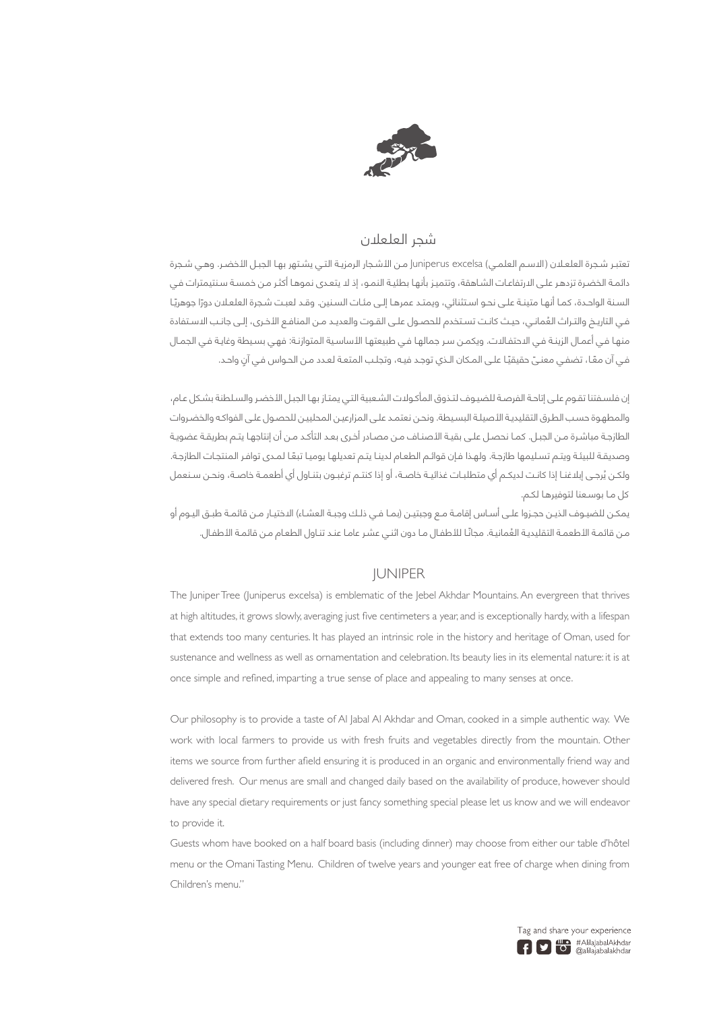

## شجر العلعالن

تعتبـر شـجرة العلعـلان (الاسـم العلمـي) Juniperus excelsa مـن الأشـجار الرمزيـة التـي يشـتهر بهـا الجبـل الأخضـر. وهـي شـجرة دائمـة الخضـرة تزدهـر علـى االرتفاعـات الشـاهقة، وتتميـز بأنهـا بطئيـة النمـو، إذ ال يتعـدى نموهـا أكثـر مـن خمسـة سـنتيمترات فـي السـنة الواحـدة، كمـا انهـا متينـة علـى نحـو اسـتثنائي، ويمتـد عمرهـا إلـى مئـات السـنين. وقـد لعبـت شـجرة العلعـلان دورًا جوهريًـا ُ فـي التاريـخ والتـراث العمانـي، حيـث كانـت تسـتخدم للحصـول علـى القـوت والعديـد مـن المنافـع األخـرى، إلـى جانـب االسـتفادة منهـا فـي أعمـال الزينـة فـي االحتفـاالت. ويكمـن سـر جمالهـا فـي طبيعتهـا األساسـية المتوازنـة: فهـي بسـيطة وغايـة فـي الجمـال فـي آن معًا، تضفـي معنـيّ حقيقيًا علـي المـكان الـذي توجـد فيـه، وتجلـب المتعـة لعـدد مـن الحـواس فـي آن واحـد.

إن فلسـفتنا تقـوم علـى إتاحـة الفرصـة للضيـوف لتـذوق المأكـوالت الشـعبية التـي يمتـاز بهـا الجبـل األخضـر والسـلطنة بشـكل عـام، والمطهـوة حسـب الطـرق التقليديـة األصيلـة البسـيطة. ونحـن نعتمـد علـى المزارعيـن المحلييـن للحصـول علـى الفواكـه والخضـروات الطازجـة مباشـرة مـن الجبـل. كمـا نحصـل علـى بقيـة الأـصنـاف مـن مصـادر أخـرى بعـد التأكـد مـن أن إنتاجهـا يتـم بطريقـة عضويـة ً وصديقـة للبيئـة ويتـم تسـليمها طازجـة. ولهـذا فـإن قوائـم الطعـام لدينـا يتـم تعديلهـا يوميـا تبعـا لمـدى توافـر المنتجـات الطازجـة. ولكـن يُ رجـى إبالغنـا إذا كانـت لديكـم أي متطلبـات غذائيـة خاصـة، أو إذا كنتـم ترغبـون بتنـاول أي أطعمـة خاصـة، ونحـن سـنعمل كل مـا بوسـعنا لتوفيرهـا لكـم.

يمكـن للضيـوف الذيـن حجـزوا علـى أسـاس إقامـة مـع وجبتيـن (بمـا فـي ذلـك وجبـة العشـاء) الـذتيـار مـن قائمـة طبـق اليـوم أو .<br>من قائمـة الأطعمـة التقليديـة العُمانيـة. مجانًـا للأطفـال مـا دون اثنـي عشـر عامـا عنـد تنـاول الطعـام مـن قائمـة الأطفـال.

#### JUNIPER

The Juniper Tree (Juniperus excelsa) is emblematic of the Jebel Akhdar Mountains. An evergreen that thrives at high altitudes, it grows slowly, averaging just five centimeters a year, and is exceptionally hardy, with a lifespan that extends too many centuries. It has played an intrinsic role in the history and heritage of Oman, used for sustenance and wellness as well as ornamentation and celebration. Its beauty lies in its elemental nature: it is at once simple and refined, imparting a true sense of place and appealing to many senses at once.

Our philosophy is to provide a taste of AI Jabal AI Akhdar and Oman, cooked in a simple authentic way. We work with local farmers to provide us with fresh fruits and vegetables directly from the mountain. Other items we source from further afield ensuring it is produced in an organic and environmentally friend way and delivered fresh. Our menus are small and changed daily based on the availability of produce, however should have any special dietary requirements or just fancy something special please let us know and we will endeavor to provide it.

Guests whom have booked on a half board basis (including dinner) may choose from either our table d'hôtel menu or the Omani Tasting Menu. Children of twelve years and younger eat free of charge when dining from Children's menu."

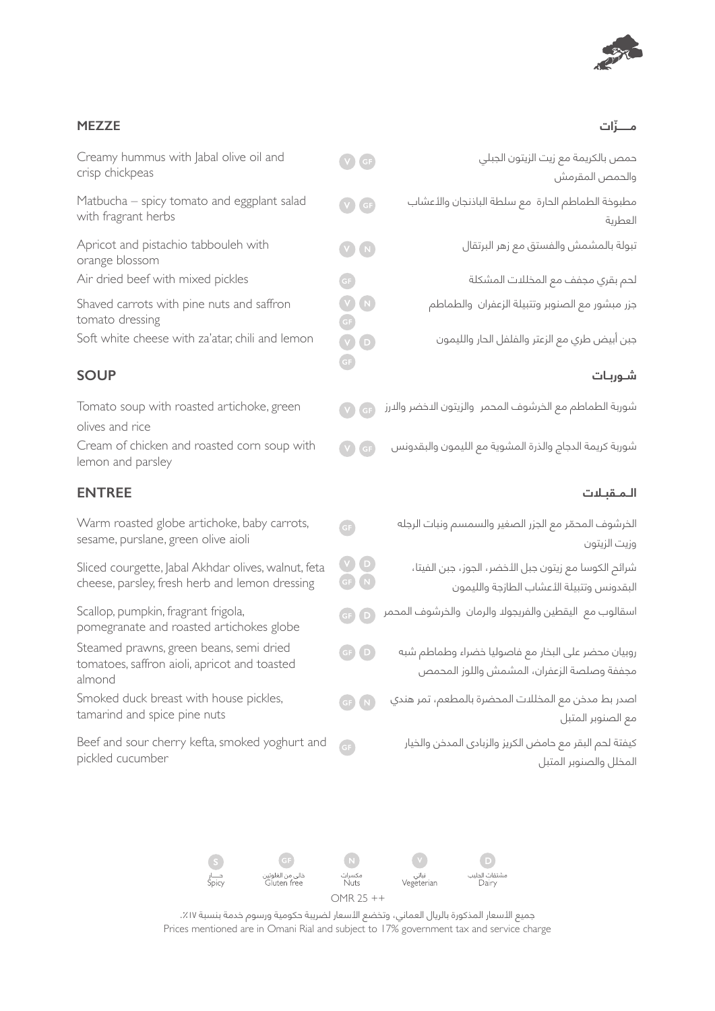

#### **ّ مـــــــزات MEZZE**

| Creamy hummus with Jabal olive oil and<br>crisp chickpeas                                             | $\sqrt{ }$ V $\sqrt{ }$ GF              | حمص بالكريمة مع زيت الزيتون الجبلي<br>والحمص المقرمش                                              |
|-------------------------------------------------------------------------------------------------------|-----------------------------------------|---------------------------------------------------------------------------------------------------|
| Matbucha – spicy tomato and eggplant salad<br>with fragrant herbs                                     | $(V)$ GF                                | مطبوخة الطماطم الحارة مع سلطة الباذنجان والأعشاب<br>العطرية                                       |
| Apricot and pistachio tabbouleh with<br>orange blossom                                                | V N                                     | تبولة بالمشمش والفستق مع زهر البرتقال                                                             |
| Air dried beef with mixed pickles                                                                     | GF)                                     | لحم بقري مجفف مع المخللات المشكلة                                                                 |
| Shaved carrots with pine nuts and saffron<br>tomato dressing                                          | $\left( \mathbf{V}\right)$<br>(N)<br>GF | جزر مبشور مع الصنوبر وتتبيلة الزعفران والطماطم                                                    |
| Soft white cheese with za'atar, chili and lemon                                                       | VD<br>Œ                                 | جبن أبيض طري مع الزعتر والفلفل الحار والليمون                                                     |
| <b>SOUP</b>                                                                                           |                                         | شوربات                                                                                            |
| Tomato soup with roasted artichoke, green<br>olives and rice                                          |                                         | شوربة الطماطم مع الخرشوف المحمر والزيتون الدخضر والدرز                                            |
| Cream of chicken and roasted corn soup with<br>lemon and parsley                                      |                                         | شوربة كريمة الدجاج والذرة المشوية مع الليمون والبقدونس                                            |
| <b>ENTREE</b>                                                                                         |                                         | المقبلات                                                                                          |
| Warm roasted globe artichoke, baby carrots,<br>sesame, purslane, green olive aioli                    | GF                                      | الخرشوف المحمّر مع الجزر الصغير والسمسم ونبات الرجله<br>وزيت الزيتون                              |
| Sliced courgette, Jabal Akhdar olives, walnut, feta<br>cheese, parsley, fresh herb and lemon dressing | $(V)$ $(D)$<br>GP(N)                    | شرائح الكوسا مع زيتون جبل الأخضر، الجوز، جبن الفيتا،<br>البقدونس وتتبيلة الأعشاب الطازجة والليمون |
| Scallop, pumpkin, fragrant frigola,<br>pomegranate and roasted artichokes globe                       |                                         | اسقالوب مع اليقطين والفريجولا والرمان والخرشوف المحمر                                             |
| Steamed prawns, green beans, semi dried<br>tomatoes, saffron aioli, apricot and toasted<br>almond     |                                         | روبيان محضر على البخار مع فاصوليا خضراء وطماطم شبه<br>مجففة وصلصة الزعفران، المشمش واللوز المحمص  |
| Smoked duck breast with house pickles,<br>tamarind and spice pine nuts                                |                                         | اصدر بط مدخن مع المخللات المحضرة بالمطعم، تمر هندي<br>مع الصنوبر المتبل                           |
| Beef and sour cherry kefta, smoked yoghurt and<br>pickled cucumber                                    | GF                                      | كيفتة لحم البقر مع حامض الكريز والزبادي المدخن والخيار<br>المخلل والصنوبر المتبل                  |
|                                                                                                       |                                         |                                                                                                   |

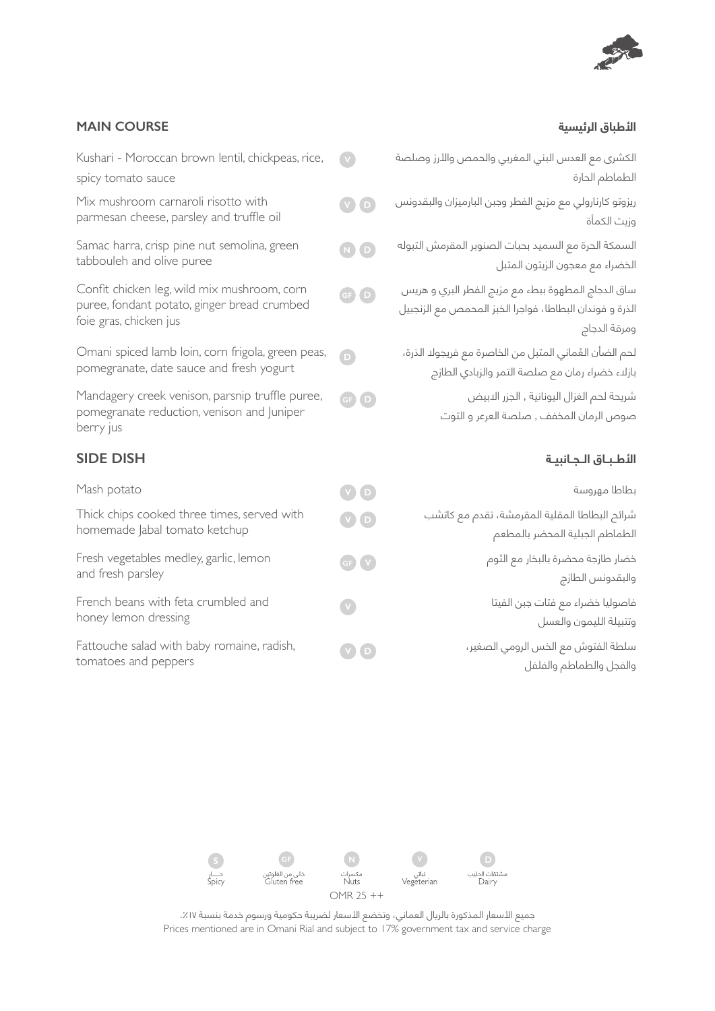

## **األطباق الرئيسية COURSE MAIN**

| Kushari - Moroccan brown lentil, chickpeas, rice,<br>spicy tomato sauce                                              |                       | الكشرى مع العدس البني المغربي والحمص والأرز وصلصة<br>الطماطم الحارة                                                       |
|----------------------------------------------------------------------------------------------------------------------|-----------------------|---------------------------------------------------------------------------------------------------------------------------|
| Mix mushroom carnaroli risotto with<br>parmesan cheese, parsley and truffle oil                                      | V(D)                  | ريزوتو كارنارولي مع مزيج الفطر وجبن البارميزان والبقدونس<br>وزيت الكمأة                                                   |
| Samac harra, crisp pine nut semolina, green<br>tabbouleh and olive puree                                             | $\Box$                | السمكة الحرة مع السميد بحبات الصنوبر المقرمش التبوله<br>الخضراء مع معجون الزيتون المتبل                                   |
| Confit chicken leg, wild mix mushroom, corn<br>puree, fondant potato, ginger bread crumbed<br>foie gras, chicken jus | GF) D                 | ساق الدجاج المطهوة ببطء مع مزيج الفطر البري و هريس<br>الذرة و فوندان البطاطا، فواجرا الخبز المحمص مع الزنجبيل             |
| Omani spiced lamb loin, corn frigola, green peas,<br>pomegranate, date sauce and fresh yogurt                        | $\Box$                | ومرقة الدجاج<br>لحم الضأن العُماني المتبل من الخاصرة مع فريجولا الذرة،<br>بازلاء خضراء رمان مع صلصة التمر والزبادي الطازج |
| Mandagery creek venison, parsnip truffle puree,<br>pomegranate reduction, venison and Juniper<br>berry jus           | $\left($ GF $\right)$ | شريحة لحم الغزال اليونانية , الجزر الدبيض<br>صوص الرمان المخفف , صلصة العرعر و التوت                                      |
| <b>SIDE DISH</b>                                                                                                     |                       | الأطباق الجانبية                                                                                                          |
| Mash potato                                                                                                          | V(D)                  | بطاطا مهروسة                                                                                                              |
| Thick chips cooked three times, served with<br>homemade Jabal tomato ketchup                                         | $\mathbf{v}$ o        | شرائح البطاطا المقلية المقرمشة، تقدم مع كاتشب<br>الطماطم الجبلية المحضر بالمطعم                                           |
| Fresh vegetables medley, garlic, lemon<br>and fresh parsley                                                          | GF(V)                 | خضار طازجة محضرة بالبخار مع الثوم<br>والبقدونس الطازج                                                                     |
| French beans with feta crumbled and<br>honey lemon dressing                                                          | $\mathbf{v}$          | فاصوليا خضراء مع فتات جبن الفيتا<br>وتتبيلة الليمون والعسل                                                                |
| Fattouche salad with baby romaine, radish,<br>tomatoes and peppers                                                   | $\overline{D}$        | سلطة الفتوش مع الخس الرومي الصغير،<br>والفجل والطماطم والفلفل                                                             |

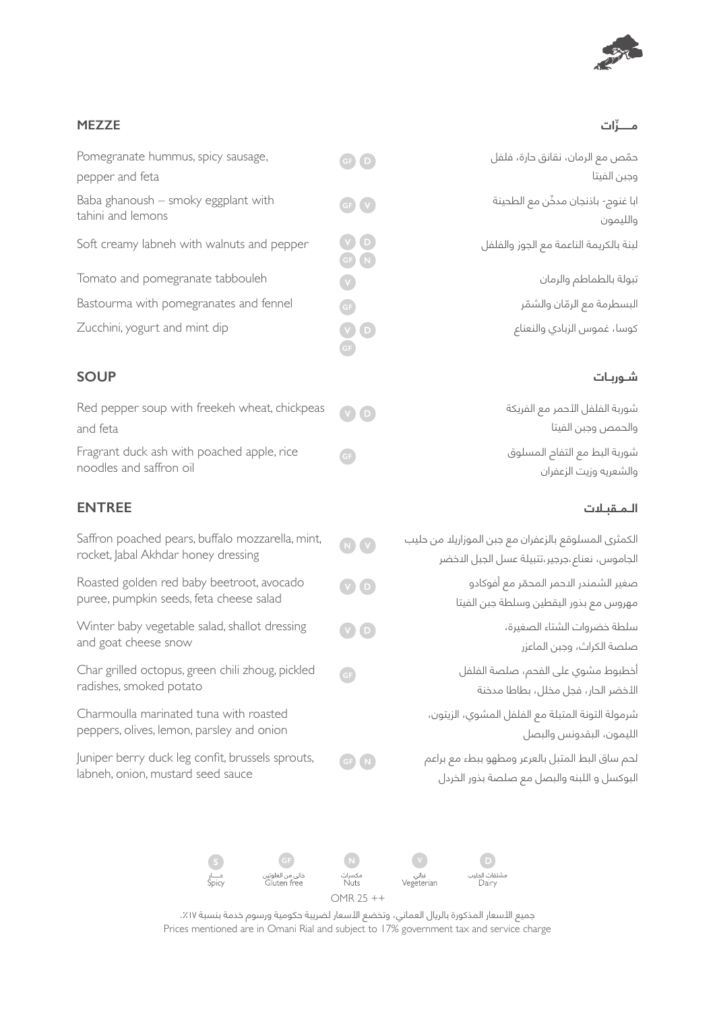

#### **ّ مـــــــزات MEZZE**

| Pomegranate hummus, spicy sausage,         | GF(D)                      | حمّص مع الرمان، نقانق حارة، فلفل       |
|--------------------------------------------|----------------------------|----------------------------------------|
| pepper and feta                            |                            | وجبن الفيتا                            |
| Baba ghanoush - smoky eggplant with        | GP(V)                      | ابا غنوج- باذنجان مدخّن مع الطحينة     |
| tahini and lemons                          |                            | والليمون                               |
| Soft creamy labneh with walnuts and pepper | $(\mathbf{V},\mathbf{D})$  | لبنة بالكريمة الناعمة مع الجوز والفلفل |
|                                            | GF(N)                      |                                        |
| Tomato and pomegranate tabbouleh           | $\left( \mathbf{V}\right)$ | تبولة بالطماطم والرمان                 |
| Bastourma with pomegranates and fennel     | GF                         | البسطرمة مع الرمّان والشمّر            |
| Zucchini, yogurt and mint dip              | $(V)$ $D$                  | كوسا، غموس الزبادي والنعناع            |
|                                            | GF                         |                                        |

# **شــوربــات SOUP**

| Red pepper soup with freekeh wheat, chickpeas<br>and feta             | V                     | شوربة الفلفل الأحمر مع الفريكة<br>والحمص وجبن الفيتا   |
|-----------------------------------------------------------------------|-----------------------|--------------------------------------------------------|
| Fragrant duck ash with poached apple, rice<br>noodles and saffron oil | $\left($ GF $\right)$ | شوربة البط مع التفام المسلوق<br>والشعريه وزيت الزعفران |

## **الــمــقبــالت ENTREE**

| Saffron poached pears, buffalo mozzarella, mint,<br>rocket, Jabal Akhdar honey dressing | NV                    | الكمثري المسلوقع بالزعفران مع جبن الموزاريلا من حليب<br>الجاموس، نعناع،جرجير،تتبيلة عسل الجبل الدخضر |
|-----------------------------------------------------------------------------------------|-----------------------|------------------------------------------------------------------------------------------------------|
| Roasted golden red baby beetroot, avocado<br>puree, pumpkin seeds, feta cheese salad    | VO                    | صغير الشمندر الدحمر المحمّر مع أفوكادو<br>مهروس مع بذور اليقطين وسلطة جبن الفيتا                     |
| Winter baby vegetable salad, shallot dressing<br>and goat cheese snow                   | $\bigcirc$ $\bigcirc$ | سلطة خضروات الشتاء الصغيرة،<br>صلصة الكراث، وجبن الماعزر                                             |
| Char grilled octopus, green chili zhoug, pickled<br>radishes, smoked potato             | GF                    | أخطبوط مشوي على الفحم، صلصة الفلفل<br>الأخضر الحار، فجل مخلل، بطاطا مدخنة                            |
| Charmoulla marinated tuna with roasted<br>peppers, olives, lemon, parsley and onion     |                       | شرمولة التونة المتبلة مع الفلفل المشوي، الزيتون،<br>الليمون، البقدونس والبصل                         |
| Juniper berry duck leg confit, brussels sprouts,<br>labneh, onion, mustard seed sauce   | GP N                  | لحم ساق البط المتبل بالعرعر ومطهو ببطء مع براعم<br>البوكسل واللبنه والبصل مع صلصة بذور الخردل        |

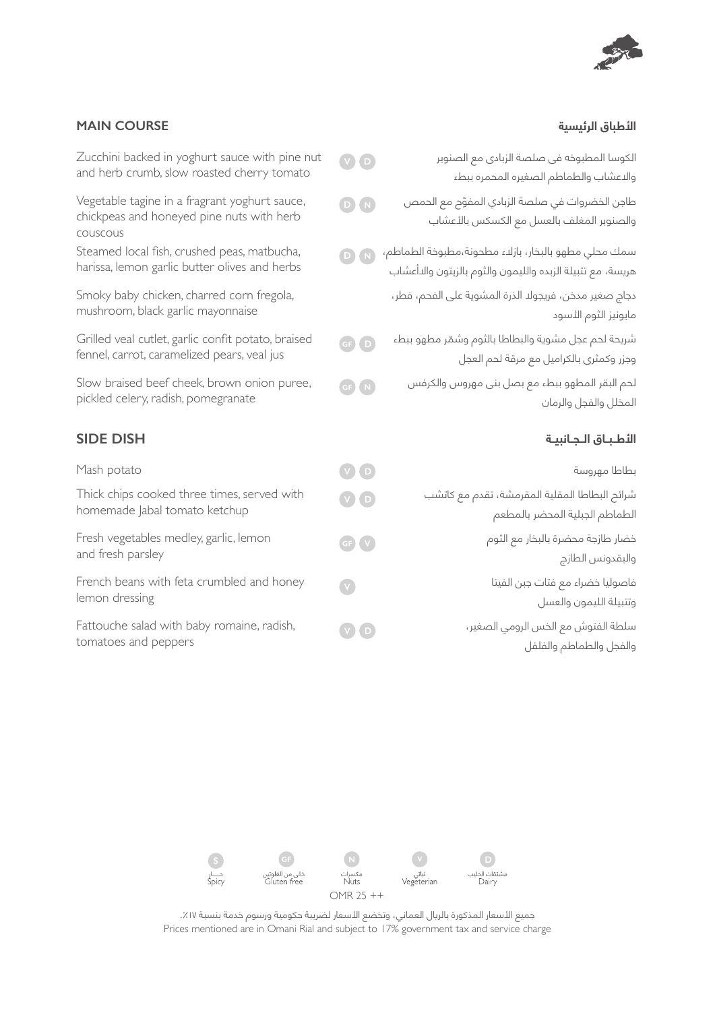

### **األطباق الرئيسية COURSE MAIN**

| Zucchini backed in yoghurt sauce with pine nut<br>and herb crumb, slow roasted cherry tomato           | $V$ $D$                         | الكوسا المطبوخه في صلصة الزبادي مع الصنوبر<br>والاعشاب والطماطم الصغيره المحمره ببطء                               |
|--------------------------------------------------------------------------------------------------------|---------------------------------|--------------------------------------------------------------------------------------------------------------------|
| Vegetable tagine in a fragrant yoghurt sauce,<br>chickpeas and honeyed pine nuts with herb<br>couscous |                                 | طاجن الخضروات في صلصة الزبادي المفوّم مع الحمص<br>والصنوبر المغلف بالعسل مع الكسكس بالأعشاب                        |
| Steamed local fish, crushed peas, matbucha,<br>harissa, lemon garlic butter olives and herbs           |                                 | سمك محلي مطهو بالبخار، بازلاء مطحونة،مطبوخة الطماطم،<br>هريسة، مع تتبيلة الزبده والليمون والثوم بالزيتون والدأعشاب |
| Smoky baby chicken, charred corn fregola,<br>mushroom, black garlic mayonnaise                         |                                 | دجاج صغير مدخن، فريجولد الذرة المشوية على الفحم، فطر،<br>مايونيز الثوم الأسود                                      |
| Grilled veal cutlet, garlic confit potato, braised<br>fennel, carrot, caramelized pears, veal jus      | $\Box$<br>$\left($ GF $\right)$ | شريحة لحم عجل مشوية والبطاطا بالثوم وشمّر مطهو ببطء<br>وجزر وكمثرى بالكراميل مع مرقة لحم العجل                     |
| Slow braised beef cheek, brown onion puree,<br>pickled celery, radish, pomegranate                     | GFN                             | لحم البقر المطهو ببطء مع بصل بني مهروس والكرفس<br>المخلل والفجل والرمان                                            |
|                                                                                                        |                                 |                                                                                                                    |
| <b>SIDE DISH</b>                                                                                       |                                 | الأطباق الجانبية                                                                                                   |
| Mash potato                                                                                            | $V$ $\Omega$                    | بطاطا مهروسة                                                                                                       |
| Thick chips cooked three times, served with<br>homemade Jabal tomato ketchup                           | $(V)$ <sup>D</sup>              | شرائح البطاطا المقلية المقرمشة، تقدم مع كاتشب<br>الطماطم الجبلية المحضر بالمطعم                                    |
| Fresh vegetables medley, garlic, lemon<br>and fresh parsley                                            | GP V                            | خضار طازجة محضرة بالبخار مع الثوم<br>والبقدونس الطازج                                                              |
| French beans with feta crumbled and honey<br>lemon dressing                                            | $\bullet$                       | فاصوليا خضراء مع فتات جبن الفيتا<br>وتتبيلة الليمون والعسل                                                         |

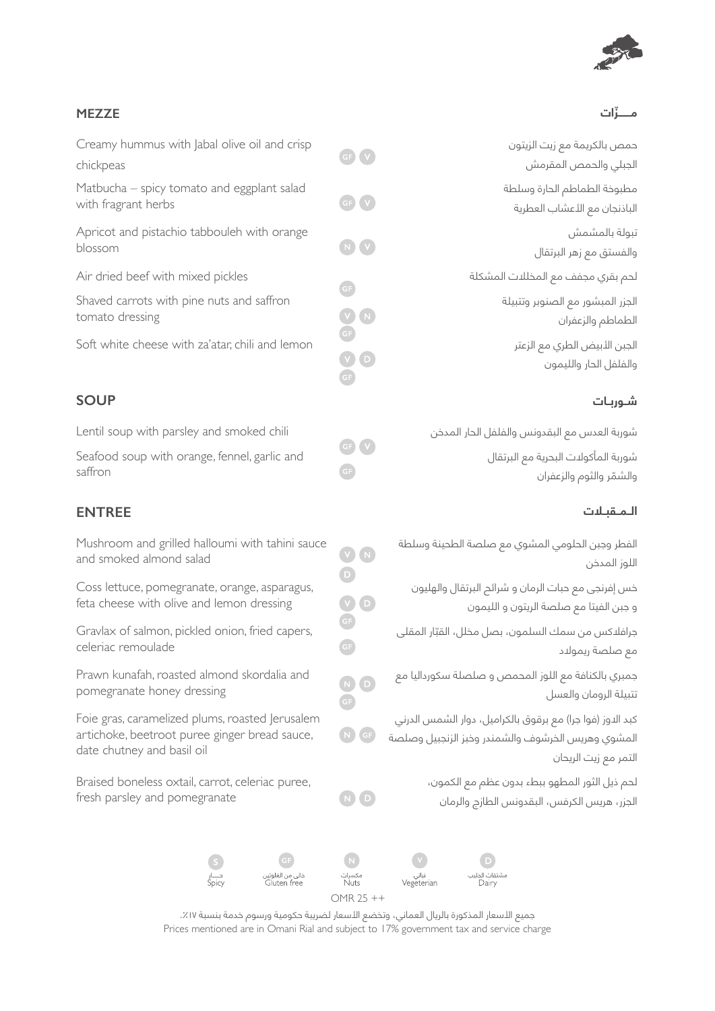

## **ّ مـــــــزات MEZZE**

| GF V   | حمص بالكريمة مع زيت الزيتون<br>الجبلي والحمص المقرمش        |
|--------|-------------------------------------------------------------|
| GF V   | مطبوخة الطماطم الحارة وسلطة<br>الباذنجان مع الأعشاب العطرية |
| N V    | تبولة بالمشمش<br>والفستق مع زهر البرتقال                    |
|        | لحم بقري مجفف مع المخللات المشكلة                           |
| VN     | الجزر المبشور مع الصنوبر وتتبيلة<br>الطماطم والزعفران       |
| $\Box$ | الجبن الأبيض الطري مع الزعتر<br>والفلفل الحار والليمون      |
|        |                                                             |

## **شــوربــات SOUP**

| nd smoked chili       |                      | شوربة العدس مع البقدونس والفلفل الحار المدخن |
|-----------------------|----------------------|----------------------------------------------|
| e, fennel, garlic and | GP(V)                | شوربة المأكولات البحرية مع البرتقال          |
|                       | $\left($ d $\right)$ | والشمّر والثوم والزعفران                     |

| VN                    | الفطر وجبن الحلومي المشوي مع صلصة الطحينة وسلطة    |
|-----------------------|----------------------------------------------------|
|                       | اللوز المدخن                                       |
| $\bigcirc$            | خس إفرنجي مع حبات الرمان و شرائح البرتقال والهليون |
| $\nabla$              |                                                    |
| $\left($ GF $\right)$ | و جبن الفيتا مع صلصة الريتون و الليمون             |
|                       | جرافلاكس من سمك السلمون، بصل مخلل، القبّار المقلي  |
| $\left($ GF           | مع صلصة ريمولاد                                    |
|                       |                                                    |

جمبري بالكنافة مع اللوز المحمص و صلصلة سكورداليا مع تتبيلة الرومان والعسل

كبد الدوز (فوا جرا) مع برقوق بالكراميل، دوار الشمس الدرني المشوي وهريس الخرشوف والشمندر وخبز الزنجبيل وصلصة التمر مع زيت الريحان

> لحم ذيل الثور المطهو ببطء بدون عظم مع الكمون، الجزر، هريس الكرفس، البقدونس الطازج والرمان

| Matbucha - spicy tomato and eggplant salad<br>with fragrant herbs | GF(V)             | مطبوخة الطماطم الحارة وسلطة<br>الباذنجان مع الأعشاب العطرية |
|-------------------------------------------------------------------|-------------------|-------------------------------------------------------------|
| Apricot and pistachio tabbouleh with orange<br>blossom            | (N)(V)            | نبولة بالمشمش<br>والفستق مع زهر البرتقال                    |
| Air dried beef with mixed pickles                                 |                   | لحم بقرى مجفف مع المخللات المشكلة                           |
| Shaved carrots with pine nuts and saffron<br>tomato dressing      | GF<br>$V$ $N$ $N$ | الجزر المبشور مع الصنوبر وتتبيلة<br>الطماطم والزعفران       |

Soft white cheese with za'atar, chili and lemon

Creamy hummus with Jabal olive oil and crisp

chickpeas

Lentil soup with parsley and Lentil soup with parsley

Seafood soup with orange saffron

## **الــمــقبــالت ENTREE**

Mushroom and grilled halloumi with tahini sauce and smoked almond salad

Coss lettuce, pomegranate, orange, asparagus, feta cheese with olive and lemon dressing

Gravlax of salmon, pickled onion, fried capers, celeriac remoulade

Prawn kunafah, roasted almond skordalia and pomegranate honey dressing

Foie gras, caramelized plums, roasted Jerusalem artichoke, beetroot puree ginger bread sauce, date chutney and basil oil

Braised boneless oxtail, carrot, celeriac puree, fresh parsley and pomegranate